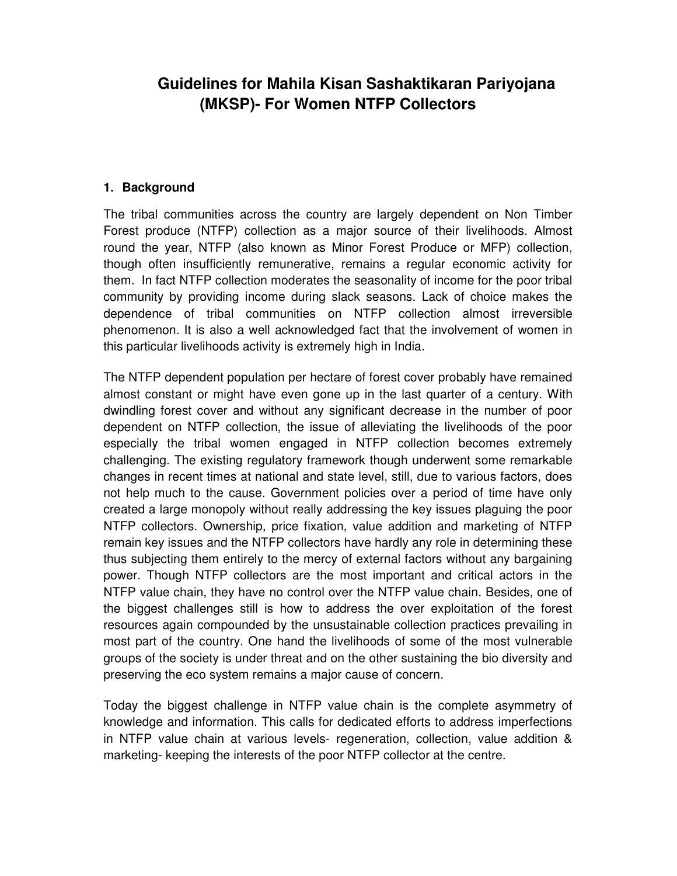# **Guidelines for Mahila Kisan Sashaktikaran Pariyojana (MKSP)- For Women NTFP Collectors**

#### **1. Background**

The tribal communities across the country are largely dependent on Non Timber Forest produce (NTFP) collection as a major source of their livelihoods. Almost round the year, NTFP (also known as Minor Forest Produce or MFP) collection, though often insufficiently remunerative, remains a regular economic activity for them. In fact NTFP collection moderates the seasonality of income for the poor tribal community by providing income during slack seasons. Lack of choice makes the dependence of tribal communities on NTFP collection almost irreversible phenomenon. It is also a well acknowledged fact that the involvement of women in this particular livelihoods activity is extremely high in India.

The NTFP dependent population per hectare of forest cover probably have remained almost constant or might have even gone up in the last quarter of a century. With dwindling forest cover and without any significant decrease in the number of poor dependent on NTFP collection, the issue of alleviating the livelihoods of the poor especially the tribal women engaged in NTFP collection becomes extremely challenging. The existing regulatory framework though underwent some remarkable changes in recent times at national and state level, still, due to various factors, does not help much to the cause. Government policies over a period of time have only created a large monopoly without really addressing the key issues plaguing the poor NTFP collectors. Ownership, price fixation, value addition and marketing of NTFP remain key issues and the NTFP collectors have hardly any role in determining these thus subjecting them entirely to the mercy of external factors without any bargaining power. Though NTFP collectors are the most important and critical actors in the NTFP value chain, they have no control over the NTFP value chain. Besides, one of the biggest challenges still is how to address the over exploitation of the forest resources again compounded by the unsustainable collection practices prevailing in most part of the country. One hand the livelihoods of some of the most vulnerable groups of the society is under threat and on the other sustaining the bio diversity and preserving the eco system remains a major cause of concern.

Today the biggest challenge in NTFP value chain is the complete asymmetry of knowledge and information. This calls for dedicated efforts to address imperfections in NTFP value chain at various levels- regeneration, collection, value addition & marketing- keeping the interests of the poor NTFP collector at the centre.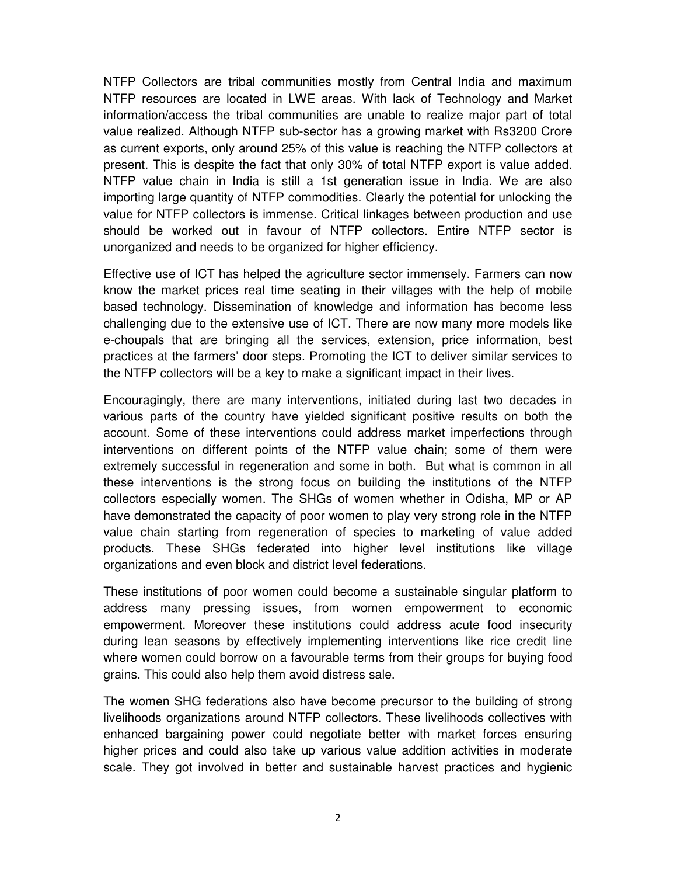NTFP Collectors are tribal communities mostly from Central India and maximum NTFP resources are located in LWE areas. With lack of Technology and Market information/access the tribal communities are unable to realize major part of total value realized. Although NTFP sub-sector has a growing market with Rs3200 Crore as current exports, only around 25% of this value is reaching the NTFP collectors at present. This is despite the fact that only 30% of total NTFP export is value added. NTFP value chain in India is still a 1st generation issue in India. We are also importing large quantity of NTFP commodities. Clearly the potential for unlocking the value for NTFP collectors is immense. Critical linkages between production and use should be worked out in favour of NTFP collectors. Entire NTFP sector is unorganized and needs to be organized for higher efficiency.

Effective use of ICT has helped the agriculture sector immensely. Farmers can now know the market prices real time seating in their villages with the help of mobile based technology. Dissemination of knowledge and information has become less challenging due to the extensive use of ICT. There are now many more models like e-choupals that are bringing all the services, extension, price information, best practices at the farmers' door steps. Promoting the ICT to deliver similar services to the NTFP collectors will be a key to make a significant impact in their lives.

Encouragingly, there are many interventions, initiated during last two decades in various parts of the country have yielded significant positive results on both the account. Some of these interventions could address market imperfections through interventions on different points of the NTFP value chain; some of them were extremely successful in regeneration and some in both. But what is common in all these interventions is the strong focus on building the institutions of the NTFP collectors especially women. The SHGs of women whether in Odisha, MP or AP have demonstrated the capacity of poor women to play very strong role in the NTFP value chain starting from regeneration of species to marketing of value added products. These SHGs federated into higher level institutions like village organizations and even block and district level federations.

These institutions of poor women could become a sustainable singular platform to address many pressing issues, from women empowerment to economic empowerment. Moreover these institutions could address acute food insecurity during lean seasons by effectively implementing interventions like rice credit line where women could borrow on a favourable terms from their groups for buying food grains. This could also help them avoid distress sale.

The women SHG federations also have become precursor to the building of strong livelihoods organizations around NTFP collectors. These livelihoods collectives with enhanced bargaining power could negotiate better with market forces ensuring higher prices and could also take up various value addition activities in moderate scale. They got involved in better and sustainable harvest practices and hygienic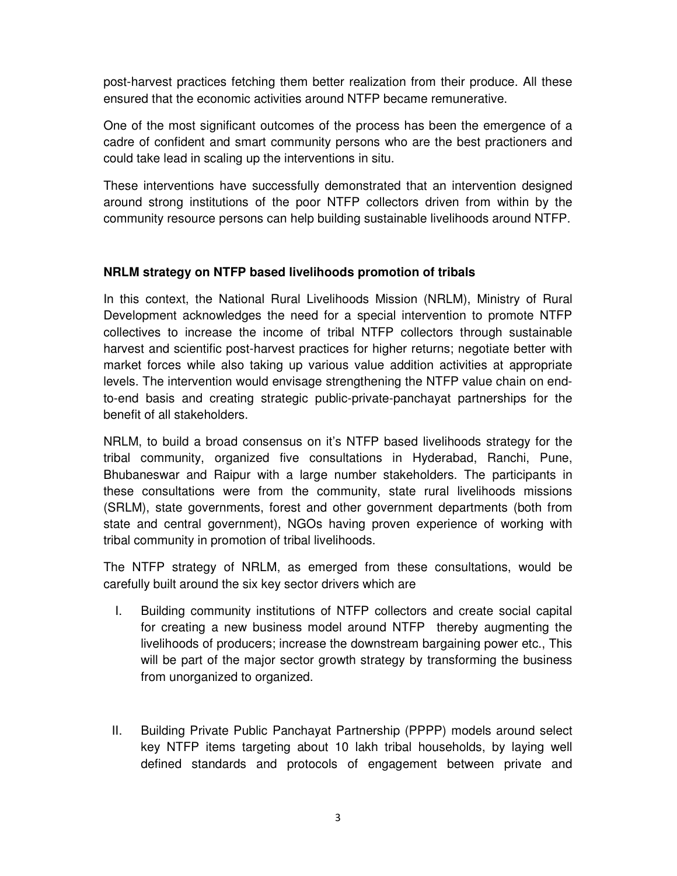post-harvest practices fetching them better realization from their produce. All these ensured that the economic activities around NTFP became remunerative.

One of the most significant outcomes of the process has been the emergence of a cadre of confident and smart community persons who are the best practioners and could take lead in scaling up the interventions in situ.

These interventions have successfully demonstrated that an intervention designed around strong institutions of the poor NTFP collectors driven from within by the community resource persons can help building sustainable livelihoods around NTFP.

### **NRLM strategy on NTFP based livelihoods promotion of tribals**

In this context, the National Rural Livelihoods Mission (NRLM), Ministry of Rural Development acknowledges the need for a special intervention to promote NTFP collectives to increase the income of tribal NTFP collectors through sustainable harvest and scientific post-harvest practices for higher returns; negotiate better with market forces while also taking up various value addition activities at appropriate levels. The intervention would envisage strengthening the NTFP value chain on endto-end basis and creating strategic public-private-panchayat partnerships for the benefit of all stakeholders.

NRLM, to build a broad consensus on it's NTFP based livelihoods strategy for the tribal community, organized five consultations in Hyderabad, Ranchi, Pune, Bhubaneswar and Raipur with a large number stakeholders. The participants in these consultations were from the community, state rural livelihoods missions (SRLM), state governments, forest and other government departments (both from state and central government), NGOs having proven experience of working with tribal community in promotion of tribal livelihoods.

The NTFP strategy of NRLM, as emerged from these consultations, would be carefully built around the six key sector drivers which are

- I. Building community institutions of NTFP collectors and create social capital for creating a new business model around NTFP thereby augmenting the livelihoods of producers; increase the downstream bargaining power etc., This will be part of the major sector growth strategy by transforming the business from unorganized to organized.
- II. Building Private Public Panchayat Partnership (PPPP) models around select key NTFP items targeting about 10 lakh tribal households, by laying well defined standards and protocols of engagement between private and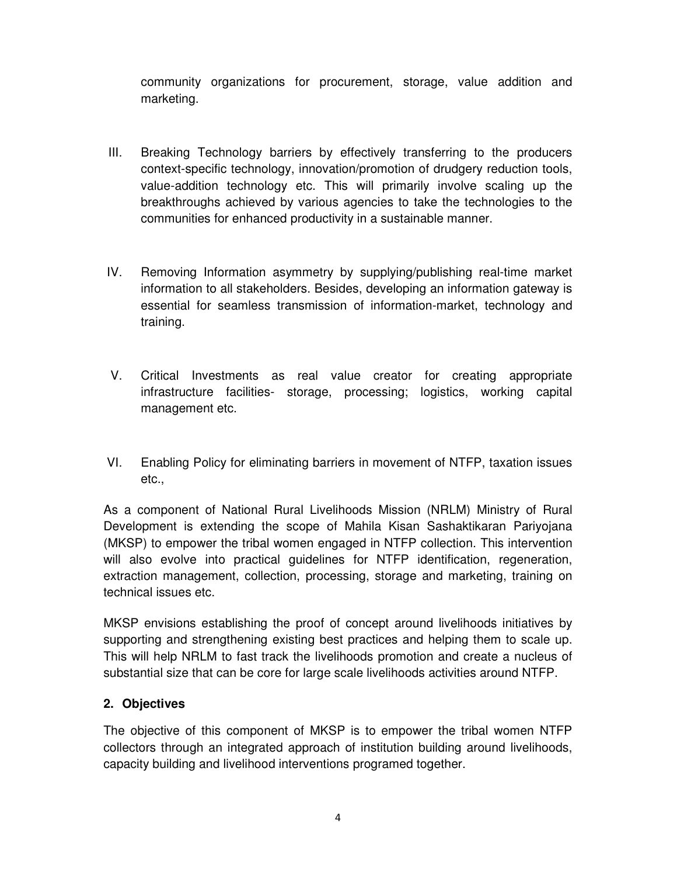community organizations for procurement, storage, value addition and marketing.

- III. Breaking Technology barriers by effectively transferring to the producers context-specific technology, innovation/promotion of drudgery reduction tools, value-addition technology etc. This will primarily involve scaling up the breakthroughs achieved by various agencies to take the technologies to the communities for enhanced productivity in a sustainable manner.
- IV. Removing Information asymmetry by supplying/publishing real-time market information to all stakeholders. Besides, developing an information gateway is essential for seamless transmission of information-market, technology and training.
- V. Critical Investments as real value creator for creating appropriate infrastructure facilities- storage, processing; logistics, working capital management etc.
- VI. Enabling Policy for eliminating barriers in movement of NTFP, taxation issues etc.,

As a component of National Rural Livelihoods Mission (NRLM) Ministry of Rural Development is extending the scope of Mahila Kisan Sashaktikaran Pariyojana (MKSP) to empower the tribal women engaged in NTFP collection. This intervention will also evolve into practical guidelines for NTFP identification, regeneration, extraction management, collection, processing, storage and marketing, training on technical issues etc.

MKSP envisions establishing the proof of concept around livelihoods initiatives by supporting and strengthening existing best practices and helping them to scale up. This will help NRLM to fast track the livelihoods promotion and create a nucleus of substantial size that can be core for large scale livelihoods activities around NTFP.

### **2. Objectives**

The objective of this component of MKSP is to empower the tribal women NTFP collectors through an integrated approach of institution building around livelihoods, capacity building and livelihood interventions programed together.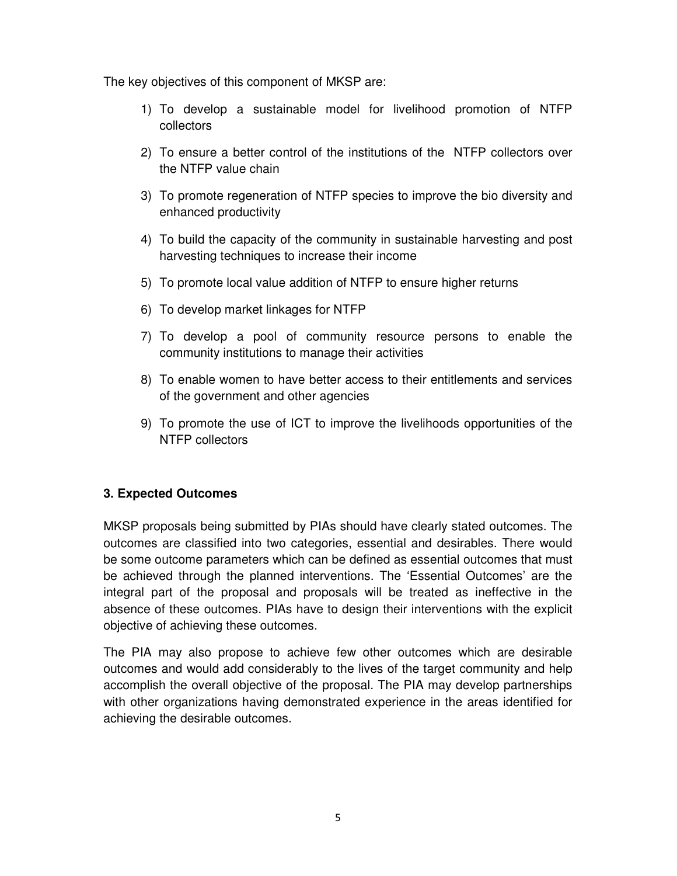The key objectives of this component of MKSP are:

- 1) To develop a sustainable model for livelihood promotion of NTFP collectors
- 2) To ensure a better control of the institutions of the NTFP collectors over the NTFP value chain
- 3) To promote regeneration of NTFP species to improve the bio diversity and enhanced productivity
- 4) To build the capacity of the community in sustainable harvesting and post harvesting techniques to increase their income
- 5) To promote local value addition of NTFP to ensure higher returns
- 6) To develop market linkages for NTFP
- 7) To develop a pool of community resource persons to enable the community institutions to manage their activities
- 8) To enable women to have better access to their entitlements and services of the government and other agencies
- 9) To promote the use of ICT to improve the livelihoods opportunities of the NTFP collectors

### **3. Expected Outcomes**

MKSP proposals being submitted by PIAs should have clearly stated outcomes. The outcomes are classified into two categories, essential and desirables. There would be some outcome parameters which can be defined as essential outcomes that must be achieved through the planned interventions. The 'Essential Outcomes' are the integral part of the proposal and proposals will be treated as ineffective in the absence of these outcomes. PIAs have to design their interventions with the explicit objective of achieving these outcomes.

The PIA may also propose to achieve few other outcomes which are desirable outcomes and would add considerably to the lives of the target community and help accomplish the overall objective of the proposal. The PIA may develop partnerships with other organizations having demonstrated experience in the areas identified for achieving the desirable outcomes.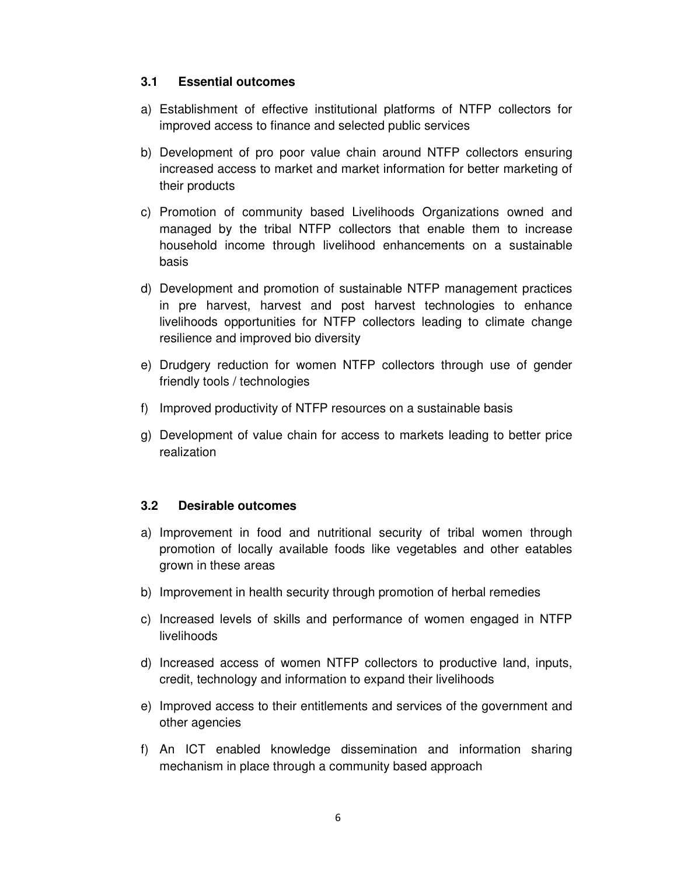#### **3.1 Essential outcomes**

- a) Establishment of effective institutional platforms of NTFP collectors for improved access to finance and selected public services
- b) Development of pro poor value chain around NTFP collectors ensuring increased access to market and market information for better marketing of their products
- c) Promotion of community based Livelihoods Organizations owned and managed by the tribal NTFP collectors that enable them to increase household income through livelihood enhancements on a sustainable basis
- d) Development and promotion of sustainable NTFP management practices in pre harvest, harvest and post harvest technologies to enhance livelihoods opportunities for NTFP collectors leading to climate change resilience and improved bio diversity
- e) Drudgery reduction for women NTFP collectors through use of gender friendly tools / technologies
- f) Improved productivity of NTFP resources on a sustainable basis
- g) Development of value chain for access to markets leading to better price realization

### **3.2 Desirable outcomes**

- a) Improvement in food and nutritional security of tribal women through promotion of locally available foods like vegetables and other eatables grown in these areas
- b) Improvement in health security through promotion of herbal remedies
- c) Increased levels of skills and performance of women engaged in NTFP livelihoods
- d) Increased access of women NTFP collectors to productive land, inputs, credit, technology and information to expand their livelihoods
- e) Improved access to their entitlements and services of the government and other agencies
- f) An ICT enabled knowledge dissemination and information sharing mechanism in place through a community based approach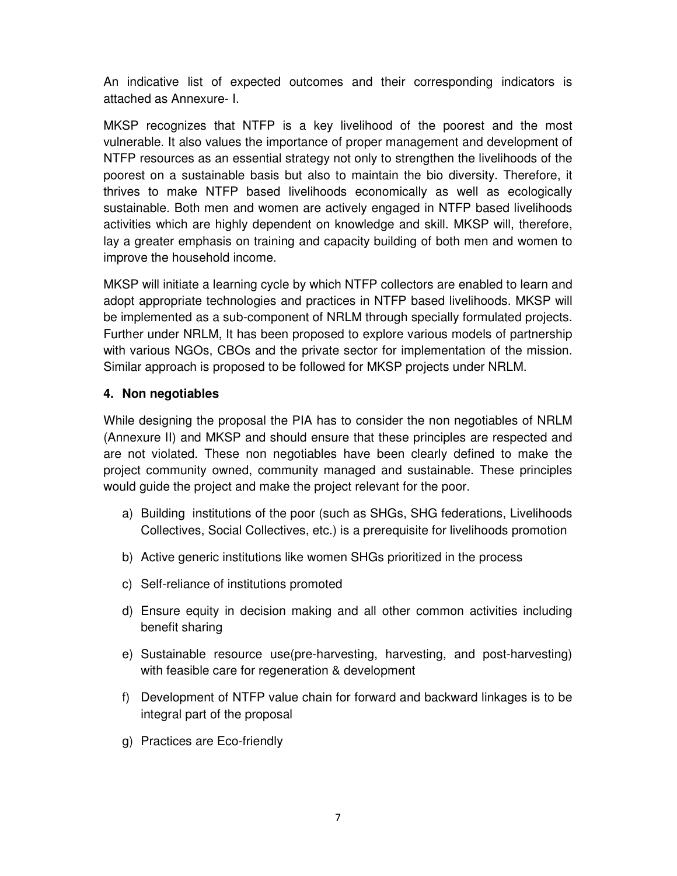An indicative list of expected outcomes and their corresponding indicators is attached as Annexure- I.

MKSP recognizes that NTFP is a key livelihood of the poorest and the most vulnerable. It also values the importance of proper management and development of NTFP resources as an essential strategy not only to strengthen the livelihoods of the poorest on a sustainable basis but also to maintain the bio diversity. Therefore, it thrives to make NTFP based livelihoods economically as well as ecologically sustainable. Both men and women are actively engaged in NTFP based livelihoods activities which are highly dependent on knowledge and skill. MKSP will, therefore, lay a greater emphasis on training and capacity building of both men and women to improve the household income.

MKSP will initiate a learning cycle by which NTFP collectors are enabled to learn and adopt appropriate technologies and practices in NTFP based livelihoods. MKSP will be implemented as a sub-component of NRLM through specially formulated projects. Further under NRLM, It has been proposed to explore various models of partnership with various NGOs, CBOs and the private sector for implementation of the mission. Similar approach is proposed to be followed for MKSP projects under NRLM.

### **4. Non negotiables**

While designing the proposal the PIA has to consider the non negotiables of NRLM (Annexure II) and MKSP and should ensure that these principles are respected and are not violated. These non negotiables have been clearly defined to make the project community owned, community managed and sustainable. These principles would guide the project and make the project relevant for the poor.

- a) Building institutions of the poor (such as SHGs, SHG federations, Livelihoods Collectives, Social Collectives, etc.) is a prerequisite for livelihoods promotion
- b) Active generic institutions like women SHGs prioritized in the process
- c) Self-reliance of institutions promoted
- d) Ensure equity in decision making and all other common activities including benefit sharing
- e) Sustainable resource use(pre-harvesting, harvesting, and post-harvesting) with feasible care for regeneration & development
- f) Development of NTFP value chain for forward and backward linkages is to be integral part of the proposal
- g) Practices are Eco-friendly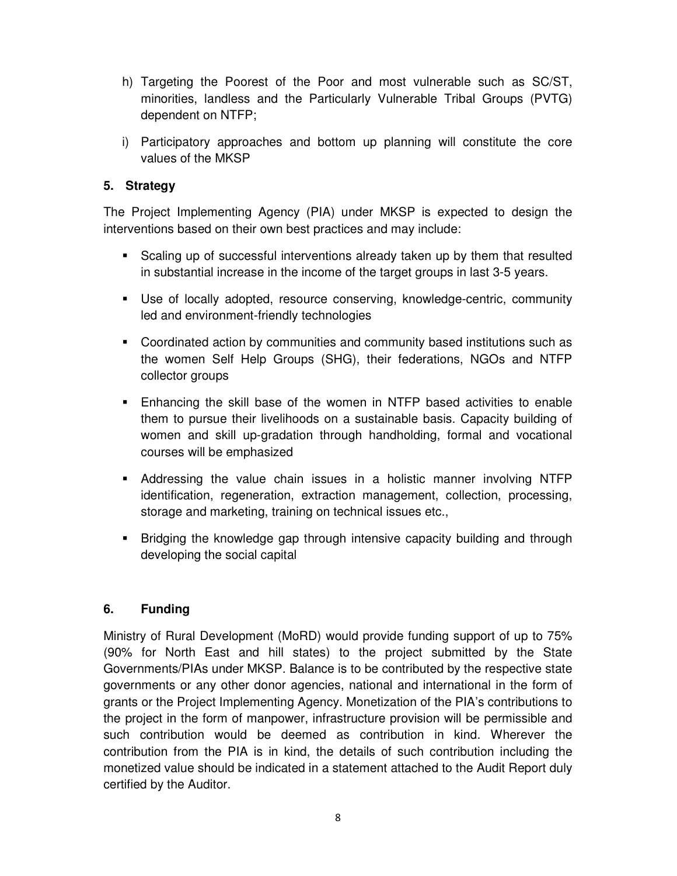- h) Targeting the Poorest of the Poor and most vulnerable such as SC/ST, minorities, landless and the Particularly Vulnerable Tribal Groups (PVTG) dependent on NTFP;
- i) Participatory approaches and bottom up planning will constitute the core values of the MKSP

### **5. Strategy**

The Project Implementing Agency (PIA) under MKSP is expected to design the interventions based on their own best practices and may include:

- Scaling up of successful interventions already taken up by them that resulted in substantial increase in the income of the target groups in last 3-5 years.
- Use of locally adopted, resource conserving, knowledge-centric, community led and environment-friendly technologies
- Coordinated action by communities and community based institutions such as the women Self Help Groups (SHG), their federations, NGOs and NTFP collector groups
- Enhancing the skill base of the women in NTFP based activities to enable them to pursue their livelihoods on a sustainable basis. Capacity building of women and skill up-gradation through handholding, formal and vocational courses will be emphasized
- Addressing the value chain issues in a holistic manner involving NTFP identification, regeneration, extraction management, collection, processing, storage and marketing, training on technical issues etc.,
- Bridging the knowledge gap through intensive capacity building and through developing the social capital

### **6. Funding**

Ministry of Rural Development (MoRD) would provide funding support of up to 75% (90% for North East and hill states) to the project submitted by the State Governments/PIAs under MKSP. Balance is to be contributed by the respective state governments or any other donor agencies, national and international in the form of grants or the Project Implementing Agency. Monetization of the PIA's contributions to the project in the form of manpower, infrastructure provision will be permissible and such contribution would be deemed as contribution in kind. Wherever the contribution from the PIA is in kind, the details of such contribution including the monetized value should be indicated in a statement attached to the Audit Report duly certified by the Auditor.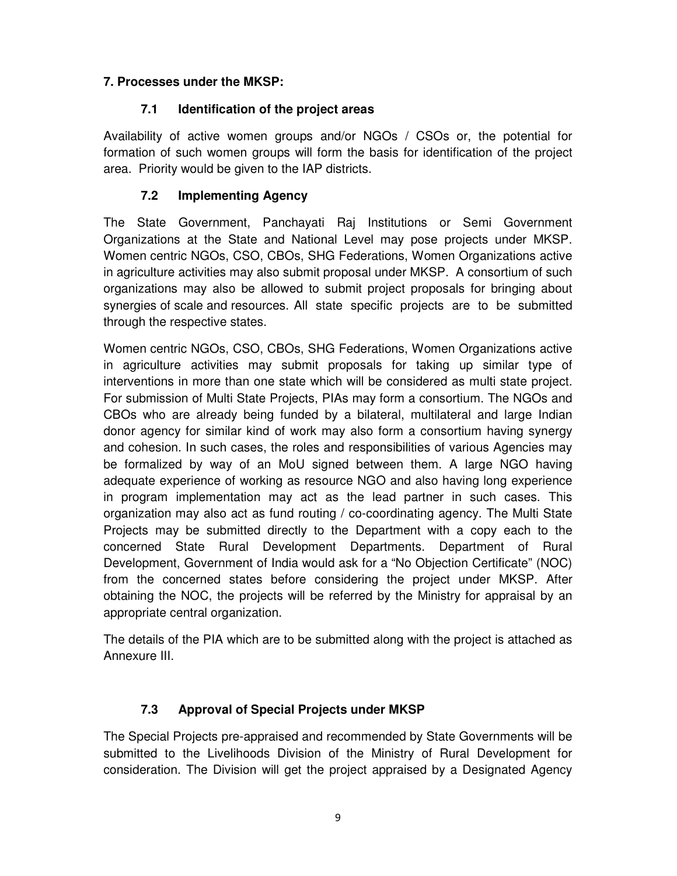### **7. Processes under the MKSP:**

### **7.1 Identification of the project areas**

Availability of active women groups and/or NGOs / CSOs or, the potential for formation of such women groups will form the basis for identification of the project area. Priority would be given to the IAP districts.

### **7.2 Implementing Agency**

The State Government, Panchayati Raj Institutions or Semi Government Organizations at the State and National Level may pose projects under MKSP. Women centric NGOs, CSO, CBOs, SHG Federations, Women Organizations active in agriculture activities may also submit proposal under MKSP. A consortium of such organizations may also be allowed to submit project proposals for bringing about synergies of scale and resources. All state specific projects are to be submitted through the respective states.

Women centric NGOs, CSO, CBOs, SHG Federations, Women Organizations active in agriculture activities may submit proposals for taking up similar type of interventions in more than one state which will be considered as multi state project. For submission of Multi State Projects, PIAs may form a consortium. The NGOs and CBOs who are already being funded by a bilateral, multilateral and large Indian donor agency for similar kind of work may also form a consortium having synergy and cohesion. In such cases, the roles and responsibilities of various Agencies may be formalized by way of an MoU signed between them. A large NGO having adequate experience of working as resource NGO and also having long experience in program implementation may act as the lead partner in such cases. This organization may also act as fund routing / co-coordinating agency. The Multi State Projects may be submitted directly to the Department with a copy each to the concerned State Rural Development Departments. Department of Rural Development, Government of India would ask for a "No Objection Certificate" (NOC) from the concerned states before considering the project under MKSP. After obtaining the NOC, the projects will be referred by the Ministry for appraisal by an appropriate central organization.

The details of the PIA which are to be submitted along with the project is attached as Annexure III.

## **7.3 Approval of Special Projects under MKSP**

The Special Projects pre-appraised and recommended by State Governments will be submitted to the Livelihoods Division of the Ministry of Rural Development for consideration. The Division will get the project appraised by a Designated Agency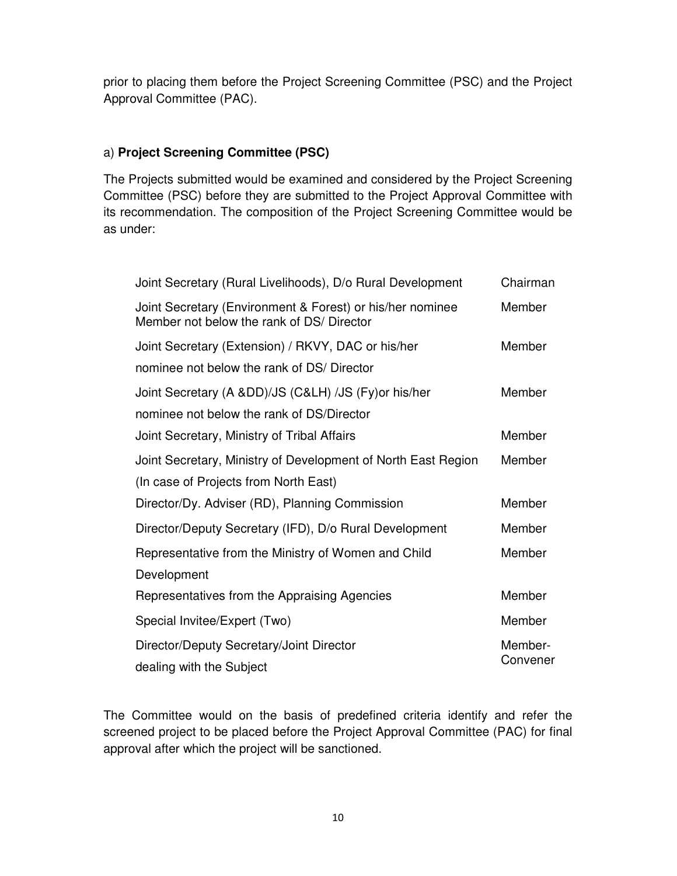prior to placing them before the Project Screening Committee (PSC) and the Project Approval Committee (PAC).

### a) **Project Screening Committee (PSC)**

The Projects submitted would be examined and considered by the Project Screening Committee (PSC) before they are submitted to the Project Approval Committee with its recommendation. The composition of the Project Screening Committee would be as under:

| Joint Secretary (Rural Livelihoods), D/o Rural Development                                             | Chairman |
|--------------------------------------------------------------------------------------------------------|----------|
| Joint Secretary (Environment & Forest) or his/her nominee<br>Member not below the rank of DS/ Director | Member   |
| Joint Secretary (Extension) / RKVY, DAC or his/her                                                     | Member   |
| nominee not below the rank of DS/ Director                                                             |          |
| Joint Secretary (A ⅅ)/JS (C&LH) /JS (Fy) or his/her                                                    | Member   |
| nominee not below the rank of DS/Director                                                              |          |
| Joint Secretary, Ministry of Tribal Affairs                                                            | Member   |
| Joint Secretary, Ministry of Development of North East Region                                          | Member   |
| (In case of Projects from North East)                                                                  |          |
| Director/Dy. Adviser (RD), Planning Commission                                                         | Member   |
| Director/Deputy Secretary (IFD), D/o Rural Development                                                 | Member   |
| Representative from the Ministry of Women and Child                                                    | Member   |
| Development                                                                                            |          |
| Representatives from the Appraising Agencies                                                           | Member   |
| Special Invitee/Expert (Two)                                                                           | Member   |
| Director/Deputy Secretary/Joint Director                                                               | Member-  |
| dealing with the Subject                                                                               | Convener |

The Committee would on the basis of predefined criteria identify and refer the screened project to be placed before the Project Approval Committee (PAC) for final approval after which the project will be sanctioned.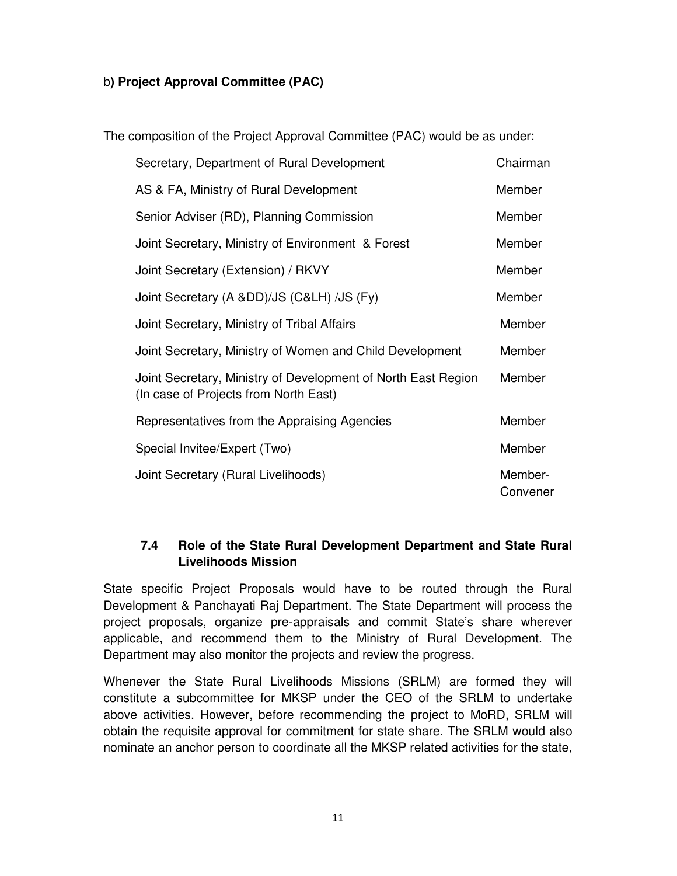### b**) Project Approval Committee (PAC)**

The composition of the Project Approval Committee (PAC) would be as under:

| Secretary, Department of Rural Development                                                             | Chairman            |
|--------------------------------------------------------------------------------------------------------|---------------------|
| AS & FA, Ministry of Rural Development                                                                 | Member              |
| Senior Adviser (RD), Planning Commission                                                               | Member              |
| Joint Secretary, Ministry of Environment & Forest                                                      | Member              |
| Joint Secretary (Extension) / RKVY                                                                     | Member              |
| Joint Secretary (A ⅅ)/JS (C&LH) /JS (Fy)                                                               | Member              |
| Joint Secretary, Ministry of Tribal Affairs                                                            | Member              |
| Joint Secretary, Ministry of Women and Child Development                                               | Member              |
| Joint Secretary, Ministry of Development of North East Region<br>(In case of Projects from North East) | Member              |
| Representatives from the Appraising Agencies                                                           | Member              |
| Special Invitee/Expert (Two)                                                                           | Member              |
| Joint Secretary (Rural Livelihoods)                                                                    | Member-<br>Convener |

### **7.4 Role of the State Rural Development Department and State Rural Livelihoods Mission**

State specific Project Proposals would have to be routed through the Rural Development & Panchayati Raj Department. The State Department will process the project proposals, organize pre-appraisals and commit State's share wherever applicable, and recommend them to the Ministry of Rural Development. The Department may also monitor the projects and review the progress.

Whenever the State Rural Livelihoods Missions (SRLM) are formed they will constitute a subcommittee for MKSP under the CEO of the SRLM to undertake above activities. However, before recommending the project to MoRD, SRLM will obtain the requisite approval for commitment for state share. The SRLM would also nominate an anchor person to coordinate all the MKSP related activities for the state,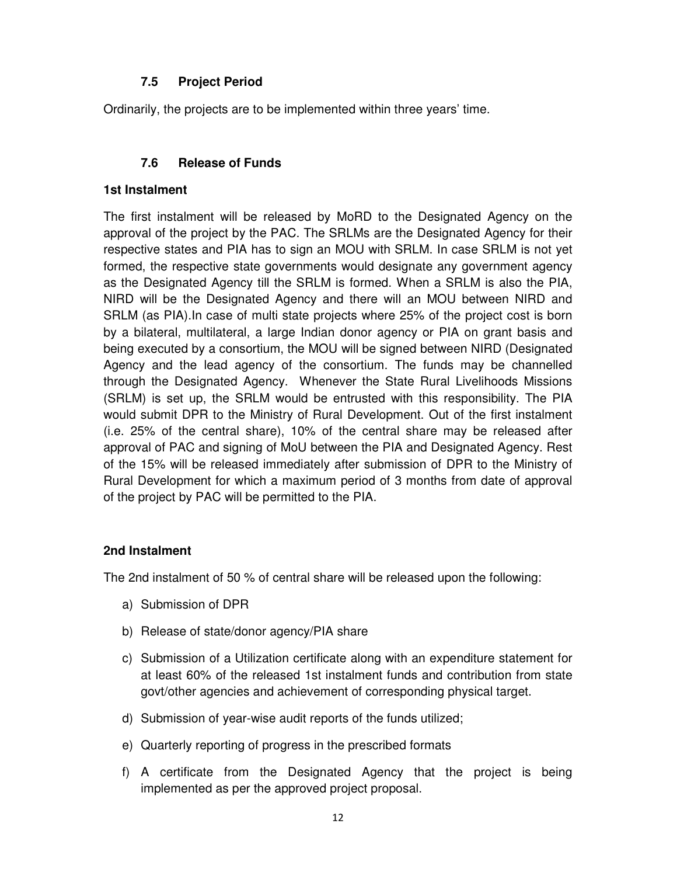### **7.5 Project Period**

Ordinarily, the projects are to be implemented within three years' time.

### **7.6 Release of Funds**

#### **1st Instalment**

The first instalment will be released by MoRD to the Designated Agency on the approval of the project by the PAC. The SRLMs are the Designated Agency for their respective states and PIA has to sign an MOU with SRLM. In case SRLM is not yet formed, the respective state governments would designate any government agency as the Designated Agency till the SRLM is formed. When a SRLM is also the PIA, NIRD will be the Designated Agency and there will an MOU between NIRD and SRLM (as PIA).In case of multi state projects where 25% of the project cost is born by a bilateral, multilateral, a large Indian donor agency or PIA on grant basis and being executed by a consortium, the MOU will be signed between NIRD (Designated Agency and the lead agency of the consortium. The funds may be channelled through the Designated Agency. Whenever the State Rural Livelihoods Missions (SRLM) is set up, the SRLM would be entrusted with this responsibility. The PIA would submit DPR to the Ministry of Rural Development. Out of the first instalment (i.e. 25% of the central share), 10% of the central share may be released after approval of PAC and signing of MoU between the PIA and Designated Agency. Rest of the 15% will be released immediately after submission of DPR to the Ministry of Rural Development for which a maximum period of 3 months from date of approval of the project by PAC will be permitted to the PIA.

#### **2nd Instalment**

The 2nd instalment of 50 % of central share will be released upon the following:

- a) Submission of DPR
- b) Release of state/donor agency/PIA share
- c) Submission of a Utilization certificate along with an expenditure statement for at least 60% of the released 1st instalment funds and contribution from state govt/other agencies and achievement of corresponding physical target.
- d) Submission of year-wise audit reports of the funds utilized;
- e) Quarterly reporting of progress in the prescribed formats
- f) A certificate from the Designated Agency that the project is being implemented as per the approved project proposal.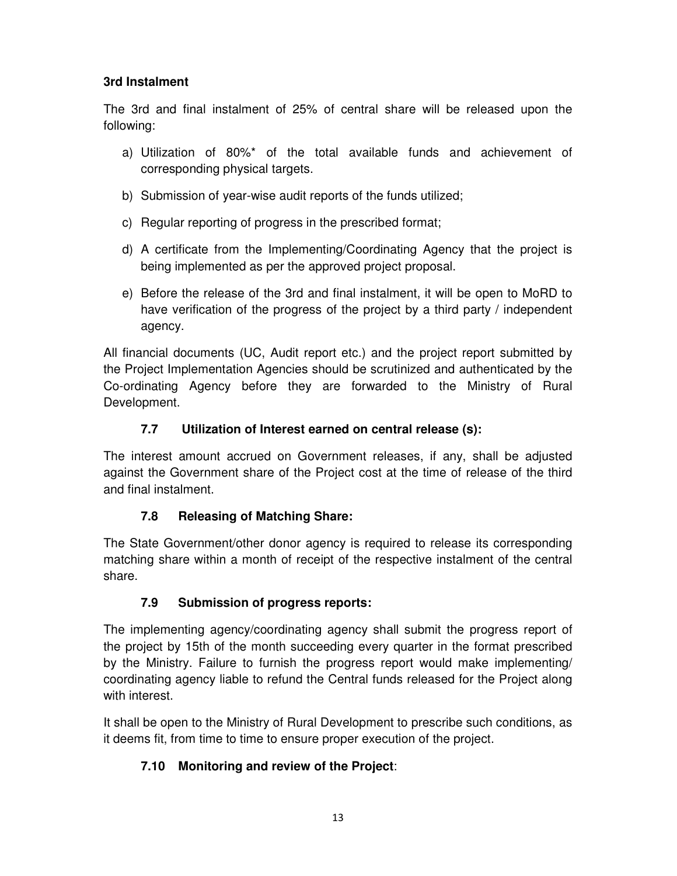### **3rd Instalment**

The 3rd and final instalment of 25% of central share will be released upon the following:

- a) Utilization of 80%\* of the total available funds and achievement of corresponding physical targets.
- b) Submission of year-wise audit reports of the funds utilized;
- c) Regular reporting of progress in the prescribed format;
- d) A certificate from the Implementing/Coordinating Agency that the project is being implemented as per the approved project proposal.
- e) Before the release of the 3rd and final instalment, it will be open to MoRD to have verification of the progress of the project by a third party / independent agency.

All financial documents (UC, Audit report etc.) and the project report submitted by the Project Implementation Agencies should be scrutinized and authenticated by the Co-ordinating Agency before they are forwarded to the Ministry of Rural Development.

### **7.7 Utilization of Interest earned on central release (s):**

The interest amount accrued on Government releases, if any, shall be adjusted against the Government share of the Project cost at the time of release of the third and final instalment.

### **7.8 Releasing of Matching Share:**

The State Government/other donor agency is required to release its corresponding matching share within a month of receipt of the respective instalment of the central share.

## **7.9 Submission of progress reports:**

The implementing agency/coordinating agency shall submit the progress report of the project by 15th of the month succeeding every quarter in the format prescribed by the Ministry. Failure to furnish the progress report would make implementing/ coordinating agency liable to refund the Central funds released for the Project along with interest.

It shall be open to the Ministry of Rural Development to prescribe such conditions, as it deems fit, from time to time to ensure proper execution of the project.

## **7.10 Monitoring and review of the Project**: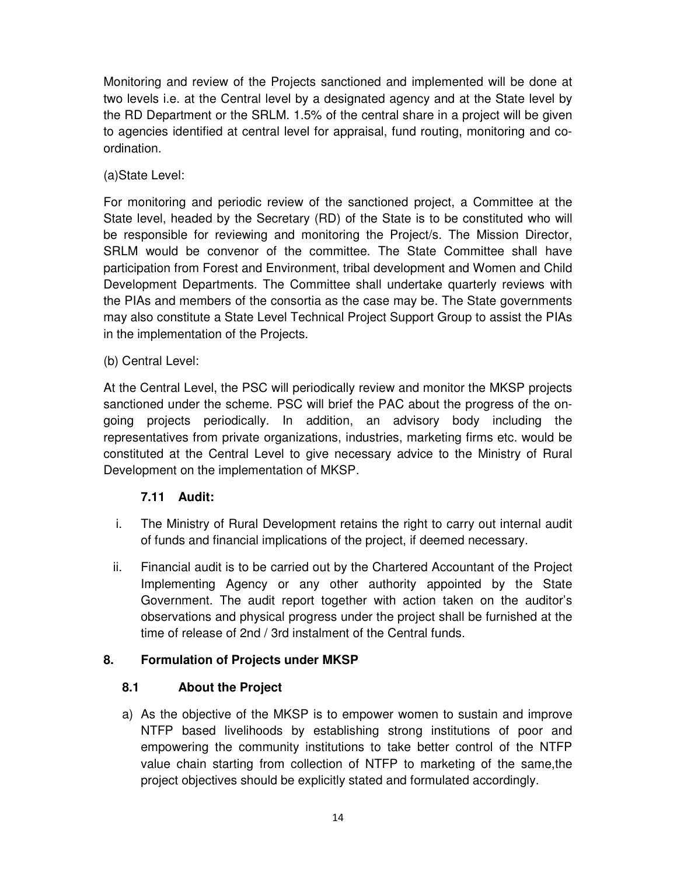Monitoring and review of the Projects sanctioned and implemented will be done at two levels i.e. at the Central level by a designated agency and at the State level by the RD Department or the SRLM. 1.5% of the central share in a project will be given to agencies identified at central level for appraisal, fund routing, monitoring and coordination.

(a)State Level:

For monitoring and periodic review of the sanctioned project, a Committee at the State level, headed by the Secretary (RD) of the State is to be constituted who will be responsible for reviewing and monitoring the Project/s. The Mission Director, SRLM would be convenor of the committee. The State Committee shall have participation from Forest and Environment, tribal development and Women and Child Development Departments. The Committee shall undertake quarterly reviews with the PIAs and members of the consortia as the case may be. The State governments may also constitute a State Level Technical Project Support Group to assist the PIAs in the implementation of the Projects.

(b) Central Level:

At the Central Level, the PSC will periodically review and monitor the MKSP projects sanctioned under the scheme. PSC will brief the PAC about the progress of the ongoing projects periodically. In addition, an advisory body including the representatives from private organizations, industries, marketing firms etc. would be constituted at the Central Level to give necessary advice to the Ministry of Rural Development on the implementation of MKSP.

### **7.11 Audit:**

- i. The Ministry of Rural Development retains the right to carry out internal audit of funds and financial implications of the project, if deemed necessary.
- ii. Financial audit is to be carried out by the Chartered Accountant of the Project Implementing Agency or any other authority appointed by the State Government. The audit report together with action taken on the auditor's observations and physical progress under the project shall be furnished at the time of release of 2nd / 3rd instalment of the Central funds.

### **8. Formulation of Projects under MKSP**

### **8.1 About the Project**

a) As the objective of the MKSP is to empower women to sustain and improve NTFP based livelihoods by establishing strong institutions of poor and empowering the community institutions to take better control of the NTFP value chain starting from collection of NTFP to marketing of the same,the project objectives should be explicitly stated and formulated accordingly.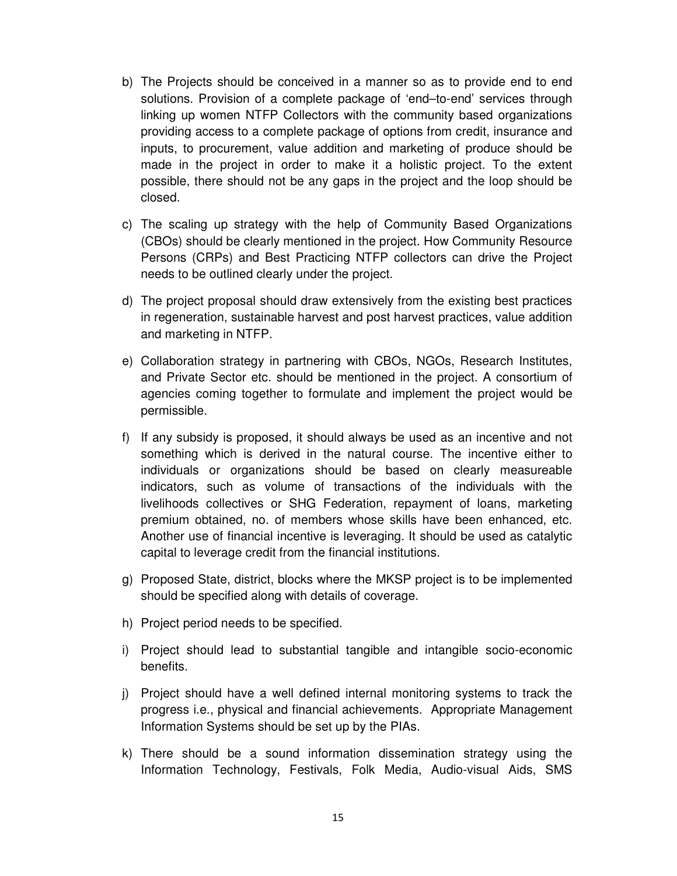- b) The Projects should be conceived in a manner so as to provide end to end solutions. Provision of a complete package of 'end–to-end' services through linking up women NTFP Collectors with the community based organizations providing access to a complete package of options from credit, insurance and inputs, to procurement, value addition and marketing of produce should be made in the project in order to make it a holistic project. To the extent possible, there should not be any gaps in the project and the loop should be closed.
- c) The scaling up strategy with the help of Community Based Organizations (CBOs) should be clearly mentioned in the project. How Community Resource Persons (CRPs) and Best Practicing NTFP collectors can drive the Project needs to be outlined clearly under the project.
- d) The project proposal should draw extensively from the existing best practices in regeneration, sustainable harvest and post harvest practices, value addition and marketing in NTFP.
- e) Collaboration strategy in partnering with CBOs, NGOs, Research Institutes, and Private Sector etc. should be mentioned in the project. A consortium of agencies coming together to formulate and implement the project would be permissible.
- f) If any subsidy is proposed, it should always be used as an incentive and not something which is derived in the natural course. The incentive either to individuals or organizations should be based on clearly measureable indicators, such as volume of transactions of the individuals with the livelihoods collectives or SHG Federation, repayment of loans, marketing premium obtained, no. of members whose skills have been enhanced, etc. Another use of financial incentive is leveraging. It should be used as catalytic capital to leverage credit from the financial institutions.
- g) Proposed State, district, blocks where the MKSP project is to be implemented should be specified along with details of coverage.
- h) Project period needs to be specified.
- i) Project should lead to substantial tangible and intangible socio-economic benefits.
- j) Project should have a well defined internal monitoring systems to track the progress i.e., physical and financial achievements. Appropriate Management Information Systems should be set up by the PIAs.
- k) There should be a sound information dissemination strategy using the Information Technology, Festivals, Folk Media, Audio-visual Aids, SMS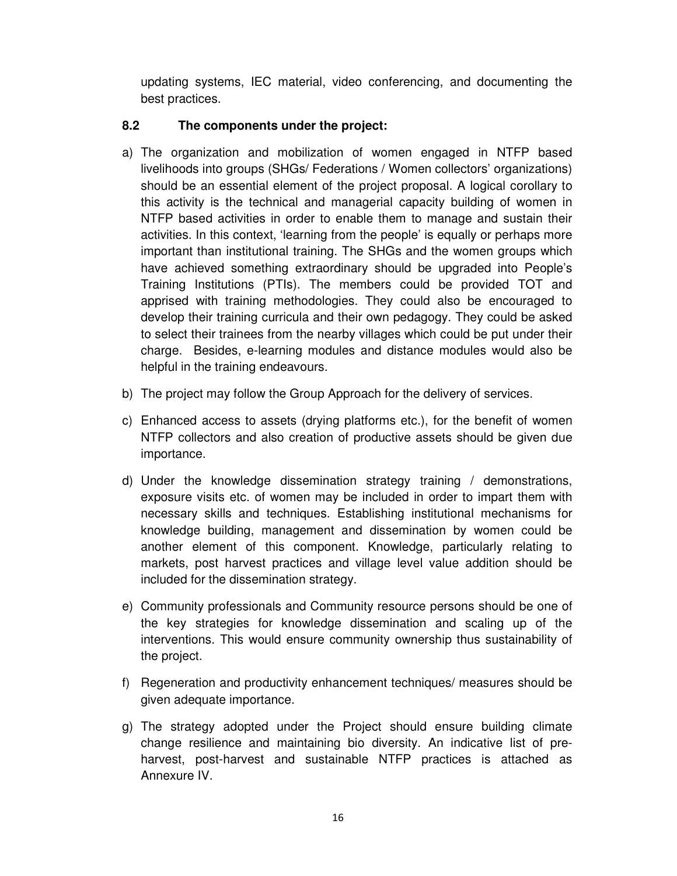updating systems, IEC material, video conferencing, and documenting the best practices.

### **8.2 The components under the project:**

- a) The organization and mobilization of women engaged in NTFP based livelihoods into groups (SHGs/ Federations / Women collectors' organizations) should be an essential element of the project proposal. A logical corollary to this activity is the technical and managerial capacity building of women in NTFP based activities in order to enable them to manage and sustain their activities. In this context, 'learning from the people' is equally or perhaps more important than institutional training. The SHGs and the women groups which have achieved something extraordinary should be upgraded into People's Training Institutions (PTIs). The members could be provided TOT and apprised with training methodologies. They could also be encouraged to develop their training curricula and their own pedagogy. They could be asked to select their trainees from the nearby villages which could be put under their charge. Besides, e-learning modules and distance modules would also be helpful in the training endeavours.
- b) The project may follow the Group Approach for the delivery of services.
- c) Enhanced access to assets (drying platforms etc.), for the benefit of women NTFP collectors and also creation of productive assets should be given due importance.
- d) Under the knowledge dissemination strategy training / demonstrations, exposure visits etc. of women may be included in order to impart them with necessary skills and techniques. Establishing institutional mechanisms for knowledge building, management and dissemination by women could be another element of this component. Knowledge, particularly relating to markets, post harvest practices and village level value addition should be included for the dissemination strategy.
- e) Community professionals and Community resource persons should be one of the key strategies for knowledge dissemination and scaling up of the interventions. This would ensure community ownership thus sustainability of the project.
- f) Regeneration and productivity enhancement techniques/ measures should be given adequate importance.
- g) The strategy adopted under the Project should ensure building climate change resilience and maintaining bio diversity. An indicative list of preharvest, post-harvest and sustainable NTFP practices is attached as Annexure IV.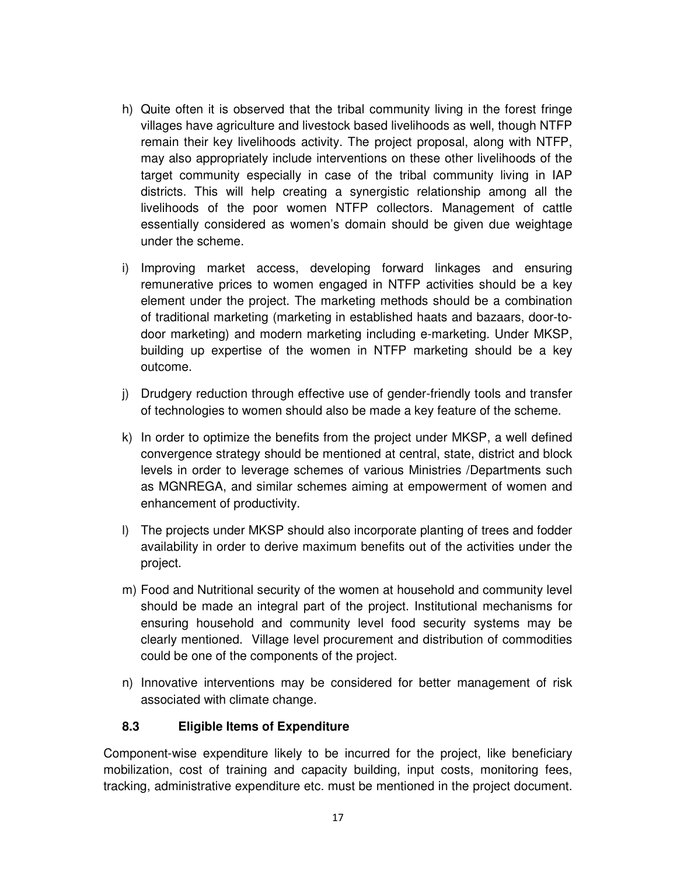- h) Quite often it is observed that the tribal community living in the forest fringe villages have agriculture and livestock based livelihoods as well, though NTFP remain their key livelihoods activity. The project proposal, along with NTFP, may also appropriately include interventions on these other livelihoods of the target community especially in case of the tribal community living in IAP districts. This will help creating a synergistic relationship among all the livelihoods of the poor women NTFP collectors. Management of cattle essentially considered as women's domain should be given due weightage under the scheme.
- i) Improving market access, developing forward linkages and ensuring remunerative prices to women engaged in NTFP activities should be a key element under the project. The marketing methods should be a combination of traditional marketing (marketing in established haats and bazaars, door-todoor marketing) and modern marketing including e-marketing. Under MKSP, building up expertise of the women in NTFP marketing should be a key outcome.
- j) Drudgery reduction through effective use of gender-friendly tools and transfer of technologies to women should also be made a key feature of the scheme.
- k) In order to optimize the benefits from the project under MKSP, a well defined convergence strategy should be mentioned at central, state, district and block levels in order to leverage schemes of various Ministries /Departments such as MGNREGA, and similar schemes aiming at empowerment of women and enhancement of productivity.
- l) The projects under MKSP should also incorporate planting of trees and fodder availability in order to derive maximum benefits out of the activities under the project.
- m) Food and Nutritional security of the women at household and community level should be made an integral part of the project. Institutional mechanisms for ensuring household and community level food security systems may be clearly mentioned. Village level procurement and distribution of commodities could be one of the components of the project.
- n) Innovative interventions may be considered for better management of risk associated with climate change.

### **8.3 Eligible Items of Expenditure**

Component-wise expenditure likely to be incurred for the project, like beneficiary mobilization, cost of training and capacity building, input costs, monitoring fees, tracking, administrative expenditure etc. must be mentioned in the project document.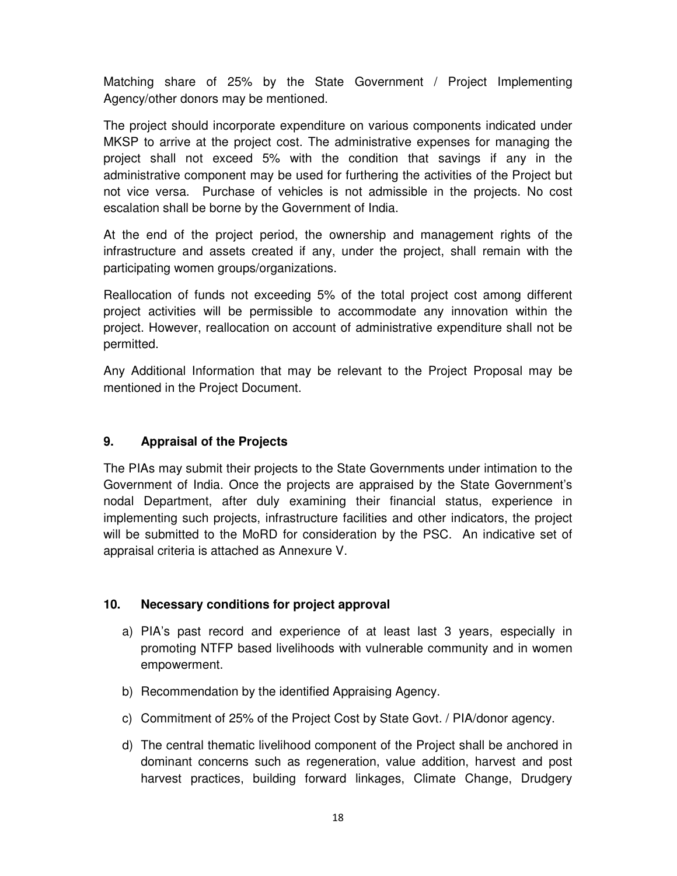Matching share of 25% by the State Government / Project Implementing Agency/other donors may be mentioned.

The project should incorporate expenditure on various components indicated under MKSP to arrive at the project cost. The administrative expenses for managing the project shall not exceed 5% with the condition that savings if any in the administrative component may be used for furthering the activities of the Project but not vice versa. Purchase of vehicles is not admissible in the projects. No cost escalation shall be borne by the Government of India.

At the end of the project period, the ownership and management rights of the infrastructure and assets created if any, under the project, shall remain with the participating women groups/organizations.

Reallocation of funds not exceeding 5% of the total project cost among different project activities will be permissible to accommodate any innovation within the project. However, reallocation on account of administrative expenditure shall not be permitted.

Any Additional Information that may be relevant to the Project Proposal may be mentioned in the Project Document.

### **9. Appraisal of the Projects**

The PIAs may submit their projects to the State Governments under intimation to the Government of India. Once the projects are appraised by the State Government's nodal Department, after duly examining their financial status, experience in implementing such projects, infrastructure facilities and other indicators, the project will be submitted to the MoRD for consideration by the PSC. An indicative set of appraisal criteria is attached as Annexure V.

### **10. Necessary conditions for project approval**

- a) PIA's past record and experience of at least last 3 years, especially in promoting NTFP based livelihoods with vulnerable community and in women empowerment.
- b) Recommendation by the identified Appraising Agency.
- c) Commitment of 25% of the Project Cost by State Govt. / PIA/donor agency.
- d) The central thematic livelihood component of the Project shall be anchored in dominant concerns such as regeneration, value addition, harvest and post harvest practices, building forward linkages, Climate Change, Drudgery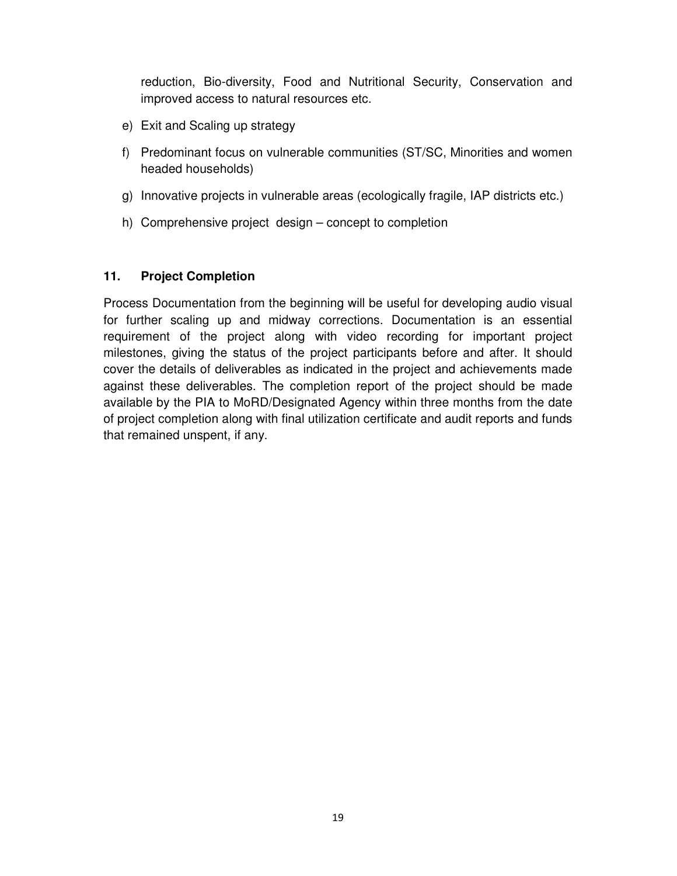reduction, Bio-diversity, Food and Nutritional Security, Conservation and improved access to natural resources etc.

- e) Exit and Scaling up strategy
- f) Predominant focus on vulnerable communities (ST/SC, Minorities and women headed households)
- g) Innovative projects in vulnerable areas (ecologically fragile, IAP districts etc.)
- h) Comprehensive project design concept to completion

### **11. Project Completion**

Process Documentation from the beginning will be useful for developing audio visual for further scaling up and midway corrections. Documentation is an essential requirement of the project along with video recording for important project milestones, giving the status of the project participants before and after. It should cover the details of deliverables as indicated in the project and achievements made against these deliverables. The completion report of the project should be made available by the PIA to MoRD/Designated Agency within three months from the date of project completion along with final utilization certificate and audit reports and funds that remained unspent, if any.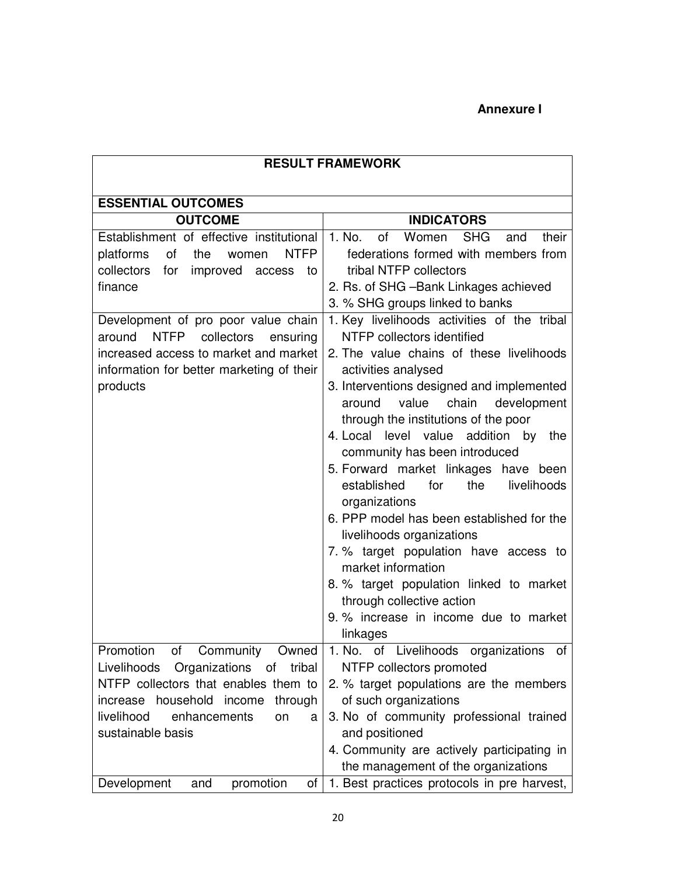## **Annexure I**

| <b>RESULT FRAMEWORK</b>                        |                                                                              |  |
|------------------------------------------------|------------------------------------------------------------------------------|--|
|                                                |                                                                              |  |
| <b>ESSENTIAL OUTCOMES</b><br><b>OUTCOME</b>    | <b>INDICATORS</b>                                                            |  |
| Establishment of effective institutional       | of<br>Women<br><b>SHG</b><br>1. No.<br>their<br>and                          |  |
| <b>NTFP</b><br>of<br>platforms<br>the<br>women | federations formed with members from                                         |  |
| collectors<br>for improved access<br>to        | tribal NTFP collectors                                                       |  |
| finance                                        | 2. Rs. of SHG - Bank Linkages achieved                                       |  |
|                                                | 3. % SHG groups linked to banks                                              |  |
| Development of pro poor value chain            | 1. Key livelihoods activities of the tribal                                  |  |
| around<br>NTFP collectors<br>ensuring          | NTFP collectors identified                                                   |  |
| increased access to market and market          | 2. The value chains of these livelihoods                                     |  |
| information for better marketing of their      | activities analysed                                                          |  |
| products                                       | 3. Interventions designed and implemented                                    |  |
|                                                | value<br>chain development<br>around                                         |  |
|                                                | through the institutions of the poor<br>4. Local level value addition by the |  |
|                                                | community has been introduced                                                |  |
|                                                | 5. Forward market linkages have been                                         |  |
|                                                | the<br>established<br>for<br>livelihoods                                     |  |
|                                                | organizations                                                                |  |
|                                                | 6. PPP model has been established for the                                    |  |
|                                                | livelihoods organizations                                                    |  |
|                                                | 7. % target population have access to                                        |  |
|                                                | market information                                                           |  |
|                                                | 8. % target population linked to market                                      |  |
|                                                | through collective action<br>9. % increase in income due to market           |  |
|                                                | linkages                                                                     |  |
| Community<br>Promotion<br>0f<br>Owned          | 1. No. of Livelihoods organizations of                                       |  |
| Livelihoods Organizations of tribal            | NTFP collectors promoted                                                     |  |
| NTFP collectors that enables them to           | 2. % target populations are the members                                      |  |
| increase household income through              | of such organizations                                                        |  |
| livelihood<br>enhancements<br>on<br>a          | 3. No of community professional trained                                      |  |
| sustainable basis                              | and positioned                                                               |  |
|                                                | 4. Community are actively participating in                                   |  |
|                                                | the management of the organizations                                          |  |
| Development<br>promotion<br>and<br>of l        | 1. Best practices protocols in pre harvest,                                  |  |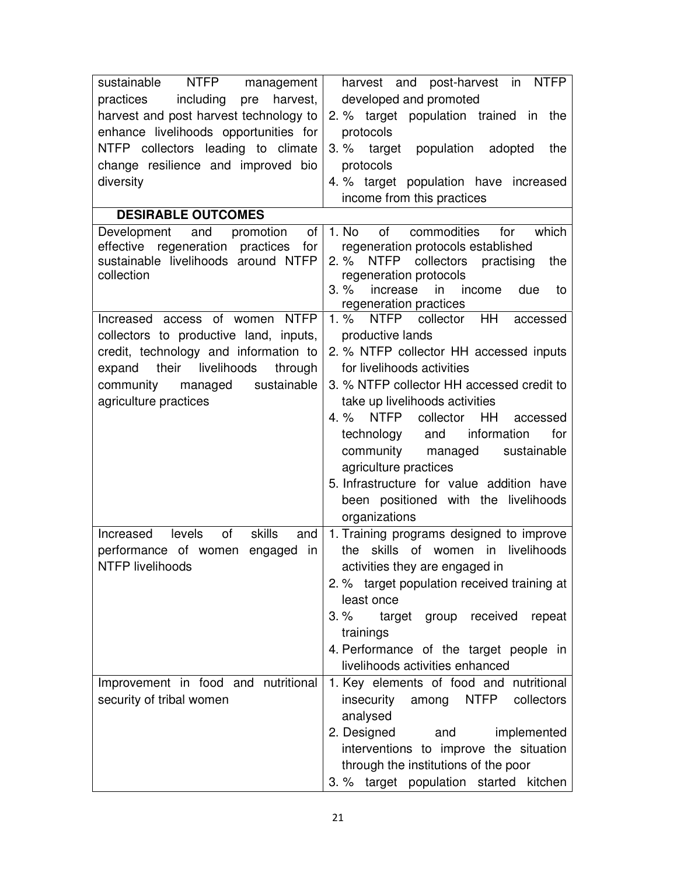| NTFP management  <br>sustainable<br>practices<br>including<br>pre<br>harvest,                                                                                                                   | harvest and post-harvest in NTFP<br>developed and promoted                                                                                                                                                                                                                                             |
|-------------------------------------------------------------------------------------------------------------------------------------------------------------------------------------------------|--------------------------------------------------------------------------------------------------------------------------------------------------------------------------------------------------------------------------------------------------------------------------------------------------------|
| harvest and post harvest technology to                                                                                                                                                          | 2. % target population trained in the                                                                                                                                                                                                                                                                  |
| enhance livelihoods opportunities for<br>NTFP collectors leading to climate<br>change resilience and improved bio                                                                               | protocols<br>3. % target<br>population<br>adopted<br>the<br>protocols                                                                                                                                                                                                                                  |
| diversity                                                                                                                                                                                       | 4. % target population have increased<br>income from this practices                                                                                                                                                                                                                                    |
| <b>DESIRABLE OUTCOMES</b>                                                                                                                                                                       |                                                                                                                                                                                                                                                                                                        |
| promotion<br>of<br>Development and<br>effective regeneration practices<br>for<br>sustainable livelihoods around NTFP<br>collection                                                              | 1. No<br>of<br>commodities<br>which<br>for<br>regeneration protocols established<br>$2. \%$<br><b>NTFP</b><br>collectors<br>practising<br>the<br>regeneration protocols<br>$3. \%$<br>increase in income<br>due<br>to<br>regeneration practices                                                        |
| Increased access of women NTFP<br>collectors to productive land, inputs,<br>credit, technology and information to<br>expand their livelihoods<br>through<br>sustainable<br>community<br>managed | NTFP collector HH<br>$1. \%$<br>accessed<br>productive lands                                                                                                                                                                                                                                           |
|                                                                                                                                                                                                 | 2. % NTFP collector HH accessed inputs<br>for livelihoods activities<br>3. % NTFP collector HH accessed credit to                                                                                                                                                                                      |
| agriculture practices                                                                                                                                                                           | take up livelihoods activities<br><b>NTFP</b><br>collector<br>$4. \%$<br>HH.<br>accessed<br>and information<br>for<br>technology<br>community<br>managed<br>sustainable<br>agriculture practices<br>5. Infrastructure for value addition have<br>been positioned with the livelihoods<br>organizations |
| levels<br>skills<br>of<br>Increased<br>and<br>performance of women engaged<br>in<br>NTFP livelihoods                                                                                            | 1. Training programs designed to improve<br>the skills<br>of women in livelihoods<br>activities they are engaged in<br>2. % target population received training at<br>least once                                                                                                                       |
|                                                                                                                                                                                                 | $3. \%$<br>target group received<br>repeat<br>trainings<br>4. Performance of the target people in<br>livelihoods activities enhanced                                                                                                                                                                   |
| Improvement in food and nutritional<br>security of tribal women                                                                                                                                 | 1. Key elements of food and nutritional<br>insecurity<br><b>NTFP</b><br>collectors<br>among<br>analysed<br>2. Designed<br>and<br>implemented<br>interventions to improve the situation<br>through the institutions of the poor                                                                         |
|                                                                                                                                                                                                 | 3. % target population started kitchen                                                                                                                                                                                                                                                                 |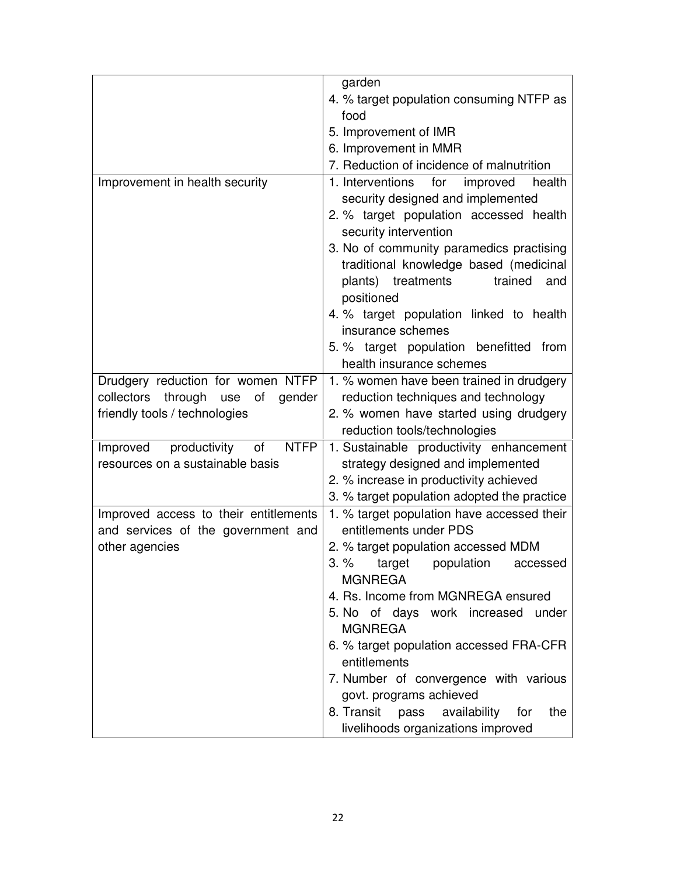|                                                                          | garden                                                                                                                                                                                                                                                                                                                                                                                                                                  |
|--------------------------------------------------------------------------|-----------------------------------------------------------------------------------------------------------------------------------------------------------------------------------------------------------------------------------------------------------------------------------------------------------------------------------------------------------------------------------------------------------------------------------------|
|                                                                          | 4. % target population consuming NTFP as                                                                                                                                                                                                                                                                                                                                                                                                |
|                                                                          | food                                                                                                                                                                                                                                                                                                                                                                                                                                    |
|                                                                          | 5. Improvement of IMR                                                                                                                                                                                                                                                                                                                                                                                                                   |
|                                                                          | 6. Improvement in MMR                                                                                                                                                                                                                                                                                                                                                                                                                   |
|                                                                          | 7. Reduction of incidence of malnutrition                                                                                                                                                                                                                                                                                                                                                                                               |
| Improvement in health security                                           | 1. Interventions<br>for<br>improved<br>health<br>security designed and implemented<br>2. % target population accessed health<br>security intervention<br>3. No of community paramedics practising<br>traditional knowledge based (medicinal<br>plants) treatments<br>trained<br>and<br>positioned<br>4. % target population linked to health<br>insurance schemes<br>5. % target population benefitted from<br>health insurance schemes |
|                                                                          |                                                                                                                                                                                                                                                                                                                                                                                                                                         |
| Drudgery reduction for women NTFP<br>collectors through use of<br>gender | 1. % women have been trained in drudgery<br>reduction techniques and technology                                                                                                                                                                                                                                                                                                                                                         |
| friendly tools / technologies                                            | 2. % women have started using drudgery                                                                                                                                                                                                                                                                                                                                                                                                  |
|                                                                          | reduction tools/technologies                                                                                                                                                                                                                                                                                                                                                                                                            |
| productivity<br><b>NTFP</b><br>Improved<br>of                            | 1. Sustainable productivity enhancement                                                                                                                                                                                                                                                                                                                                                                                                 |
| resources on a sustainable basis                                         | strategy designed and implemented                                                                                                                                                                                                                                                                                                                                                                                                       |
|                                                                          | 2. % increase in productivity achieved                                                                                                                                                                                                                                                                                                                                                                                                  |
|                                                                          | 3. % target population adopted the practice                                                                                                                                                                                                                                                                                                                                                                                             |
| Improved access to their entitlements                                    | 1. % target population have accessed their                                                                                                                                                                                                                                                                                                                                                                                              |
| and services of the government and                                       | entitlements under PDS                                                                                                                                                                                                                                                                                                                                                                                                                  |
| other agencies                                                           | 2. % target population accessed MDM                                                                                                                                                                                                                                                                                                                                                                                                     |
|                                                                          | $3. \%$<br>target<br>population<br>accessed<br><b>MGNREGA</b>                                                                                                                                                                                                                                                                                                                                                                           |
|                                                                          | 4. Rs. Income from MGNREGA ensured                                                                                                                                                                                                                                                                                                                                                                                                      |
|                                                                          | 5. No of days work increased under                                                                                                                                                                                                                                                                                                                                                                                                      |
|                                                                          | <b>MGNREGA</b>                                                                                                                                                                                                                                                                                                                                                                                                                          |
|                                                                          | 6. % target population accessed FRA-CFR                                                                                                                                                                                                                                                                                                                                                                                                 |
|                                                                          | entitlements                                                                                                                                                                                                                                                                                                                                                                                                                            |
|                                                                          | 7. Number of convergence with various                                                                                                                                                                                                                                                                                                                                                                                                   |
|                                                                          | govt. programs achieved                                                                                                                                                                                                                                                                                                                                                                                                                 |
|                                                                          | 8. Transit pass availability<br>for<br>the                                                                                                                                                                                                                                                                                                                                                                                              |
|                                                                          | livelihoods organizations improved                                                                                                                                                                                                                                                                                                                                                                                                      |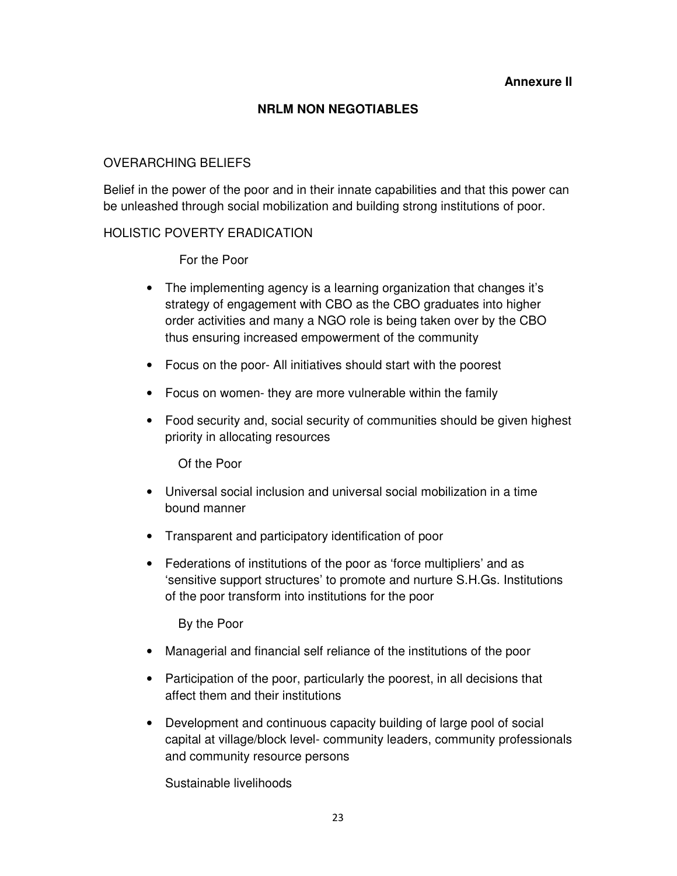#### **Annexure II**

#### **NRLM NON NEGOTIABLES**

#### OVERARCHING BELIEFS

Belief in the power of the poor and in their innate capabilities and that this power can be unleashed through social mobilization and building strong institutions of poor.

#### HOLISTIC POVERTY ERADICATION

For the Poor

- The implementing agency is a learning organization that changes it's strategy of engagement with CBO as the CBO graduates into higher order activities and many a NGO role is being taken over by the CBO thus ensuring increased empowerment of the community
- Focus on the poor- All initiatives should start with the poorest
- Focus on women- they are more vulnerable within the family
- Food security and, social security of communities should be given highest priority in allocating resources

Of the Poor

- Universal social inclusion and universal social mobilization in a time bound manner
- Transparent and participatory identification of poor
- Federations of institutions of the poor as 'force multipliers' and as 'sensitive support structures' to promote and nurture S.H.Gs. Institutions of the poor transform into institutions for the poor

By the Poor

- Managerial and financial self reliance of the institutions of the poor
- Participation of the poor, particularly the poorest, in all decisions that affect them and their institutions
- Development and continuous capacity building of large pool of social capital at village/block level- community leaders, community professionals and community resource persons

Sustainable livelihoods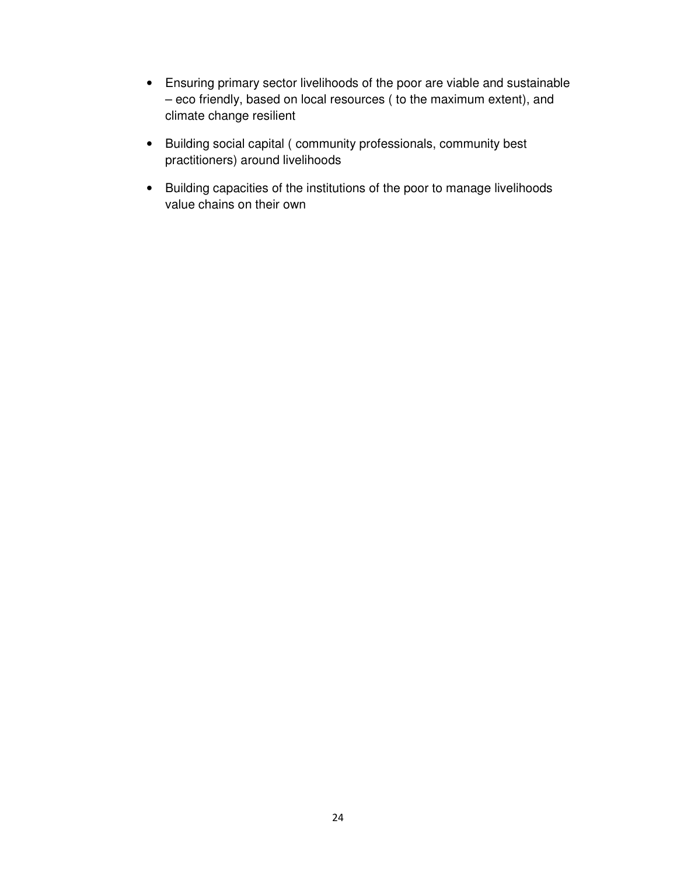- Ensuring primary sector livelihoods of the poor are viable and sustainable – eco friendly, based on local resources ( to the maximum extent), and climate change resilient
- Building social capital ( community professionals, community best practitioners) around livelihoods
- Building capacities of the institutions of the poor to manage livelihoods value chains on their own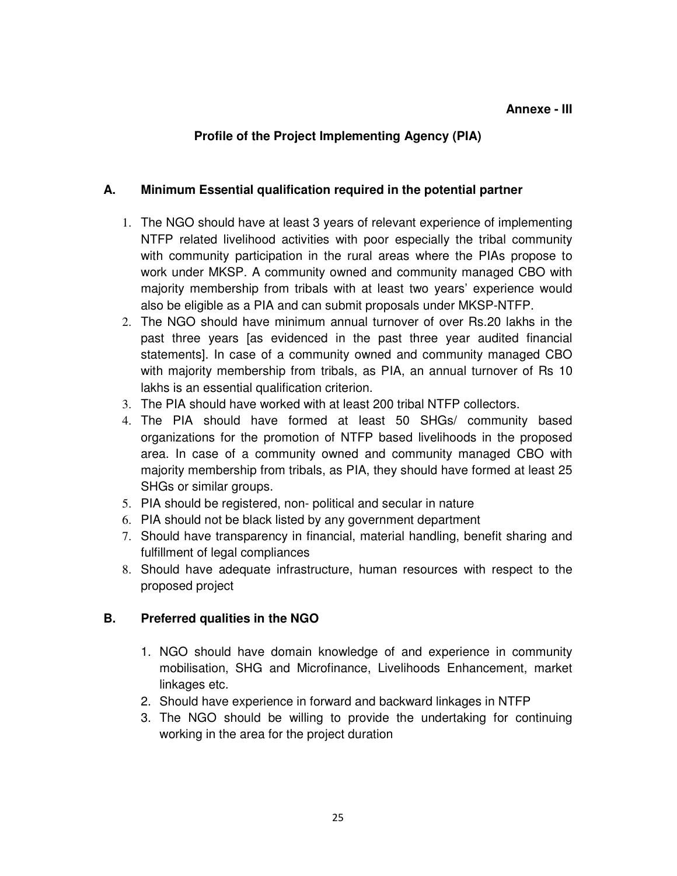### **Profile of the Project Implementing Agency (PIA)**

#### **A. Minimum Essential qualification required in the potential partner**

- 1. The NGO should have at least 3 years of relevant experience of implementing NTFP related livelihood activities with poor especially the tribal community with community participation in the rural areas where the PIAs propose to work under MKSP. A community owned and community managed CBO with majority membership from tribals with at least two years' experience would also be eligible as a PIA and can submit proposals under MKSP-NTFP.
- 2. The NGO should have minimum annual turnover of over Rs.20 lakhs in the past three years [as evidenced in the past three year audited financial statements]. In case of a community owned and community managed CBO with majority membership from tribals, as PIA, an annual turnover of Rs 10 lakhs is an essential qualification criterion.
- 3. The PIA should have worked with at least 200 tribal NTFP collectors.
- 4. The PIA should have formed at least 50 SHGs/ community based organizations for the promotion of NTFP based livelihoods in the proposed area. In case of a community owned and community managed CBO with majority membership from tribals, as PIA, they should have formed at least 25 SHGs or similar groups.
- 5. PIA should be registered, non- political and secular in nature
- 6. PIA should not be black listed by any government department
- 7. Should have transparency in financial, material handling, benefit sharing and fulfillment of legal compliances
- 8. Should have adequate infrastructure, human resources with respect to the proposed project

### **B. Preferred qualities in the NGO**

- 1. NGO should have domain knowledge of and experience in community mobilisation, SHG and Microfinance, Livelihoods Enhancement, market linkages etc.
- 2. Should have experience in forward and backward linkages in NTFP
- 3. The NGO should be willing to provide the undertaking for continuing working in the area for the project duration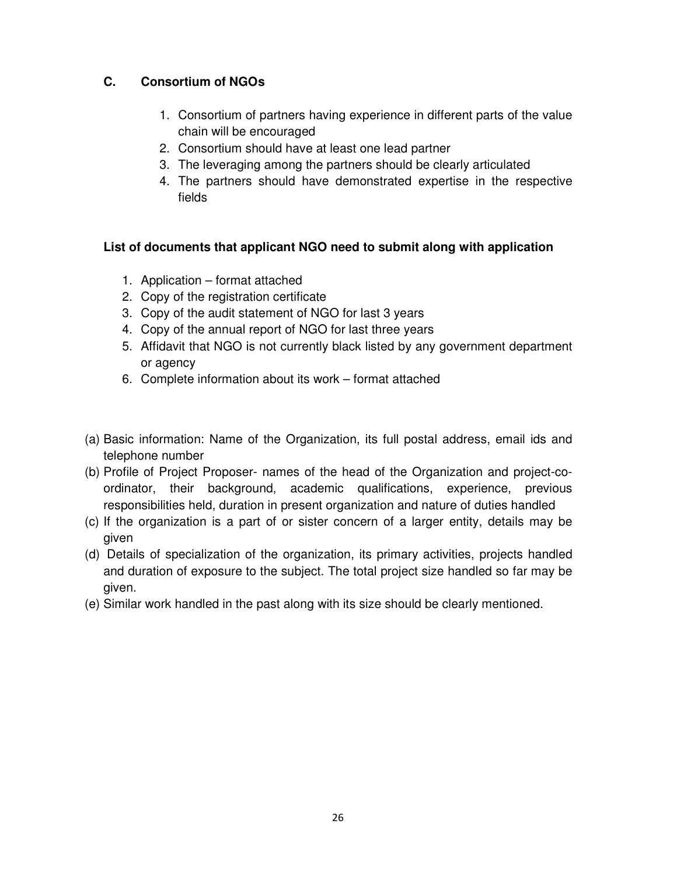### **C. Consortium of NGOs**

- 1. Consortium of partners having experience in different parts of the value chain will be encouraged
- 2. Consortium should have at least one lead partner
- 3. The leveraging among the partners should be clearly articulated
- 4. The partners should have demonstrated expertise in the respective fields

### **List of documents that applicant NGO need to submit along with application**

- 1. Application format attached
- 2. Copy of the registration certificate
- 3. Copy of the audit statement of NGO for last 3 years
- 4. Copy of the annual report of NGO for last three years
- 5. Affidavit that NGO is not currently black listed by any government department or agency
- 6. Complete information about its work format attached
- (a) Basic information: Name of the Organization, its full postal address, email ids and telephone number
- (b) Profile of Project Proposer- names of the head of the Organization and project-coordinator, their background, academic qualifications, experience, previous responsibilities held, duration in present organization and nature of duties handled
- (c) If the organization is a part of or sister concern of a larger entity, details may be given
- (d) Details of specialization of the organization, its primary activities, projects handled and duration of exposure to the subject. The total project size handled so far may be given.
- (e) Similar work handled in the past along with its size should be clearly mentioned.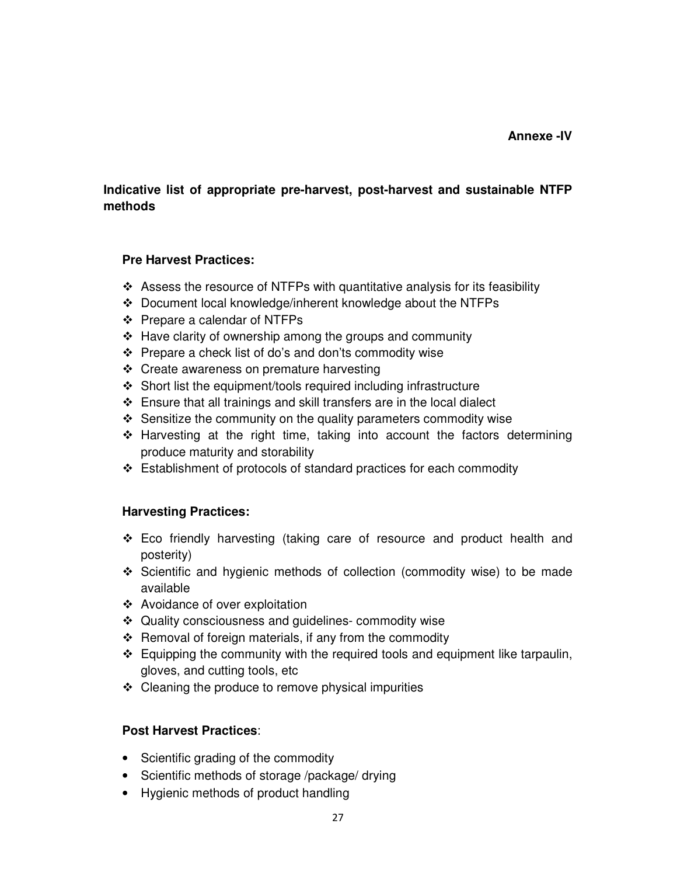### **Indicative list of appropriate pre-harvest, post-harvest and sustainable NTFP methods**

#### **Pre Harvest Practices:**

- Assess the resource of NTFPs with quantitative analysis for its feasibility
- Document local knowledge/inherent knowledge about the NTFPs
- Prepare a calendar of NTFPs
- Have clarity of ownership among the groups and community
- Prepare a check list of do's and don'ts commodity wise
- Create awareness on premature harvesting
- Short list the equipment/tools required including infrastructure
- Ensure that all trainings and skill transfers are in the local dialect
- Sensitize the community on the quality parameters commodity wise
- Harvesting at the right time, taking into account the factors determining produce maturity and storability
- Establishment of protocols of standard practices for each commodity

### **Harvesting Practices:**

- Eco friendly harvesting (taking care of resource and product health and posterity)
- Scientific and hygienic methods of collection (commodity wise) to be made available
- Avoidance of over exploitation
- Quality consciousness and guidelines- commodity wise
- Removal of foreign materials, if any from the commodity
- Equipping the community with the required tools and equipment like tarpaulin, gloves, and cutting tools, etc
- Cleaning the produce to remove physical impurities

### **Post Harvest Practices**:

- Scientific grading of the commodity
- Scientific methods of storage /package/ drying
- Hygienic methods of product handling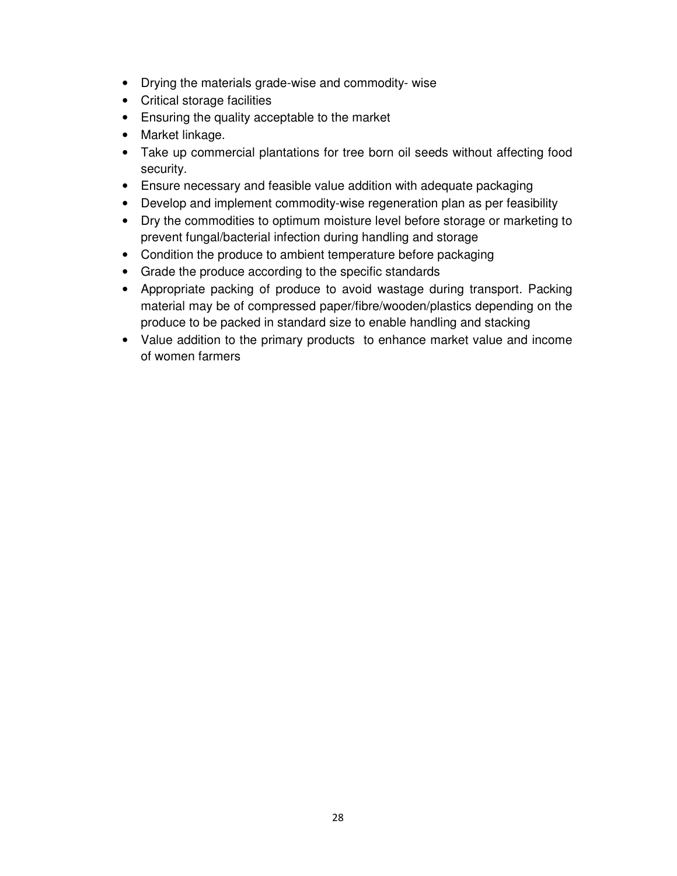- Drying the materials grade-wise and commodity- wise
- Critical storage facilities
- Ensuring the quality acceptable to the market
- Market linkage.
- Take up commercial plantations for tree born oil seeds without affecting food security.
- Ensure necessary and feasible value addition with adequate packaging
- Develop and implement commodity-wise regeneration plan as per feasibility
- Dry the commodities to optimum moisture level before storage or marketing to prevent fungal/bacterial infection during handling and storage
- Condition the produce to ambient temperature before packaging
- Grade the produce according to the specific standards
- Appropriate packing of produce to avoid wastage during transport. Packing material may be of compressed paper/fibre/wooden/plastics depending on the produce to be packed in standard size to enable handling and stacking
- Value addition to the primary products to enhance market value and income of women farmers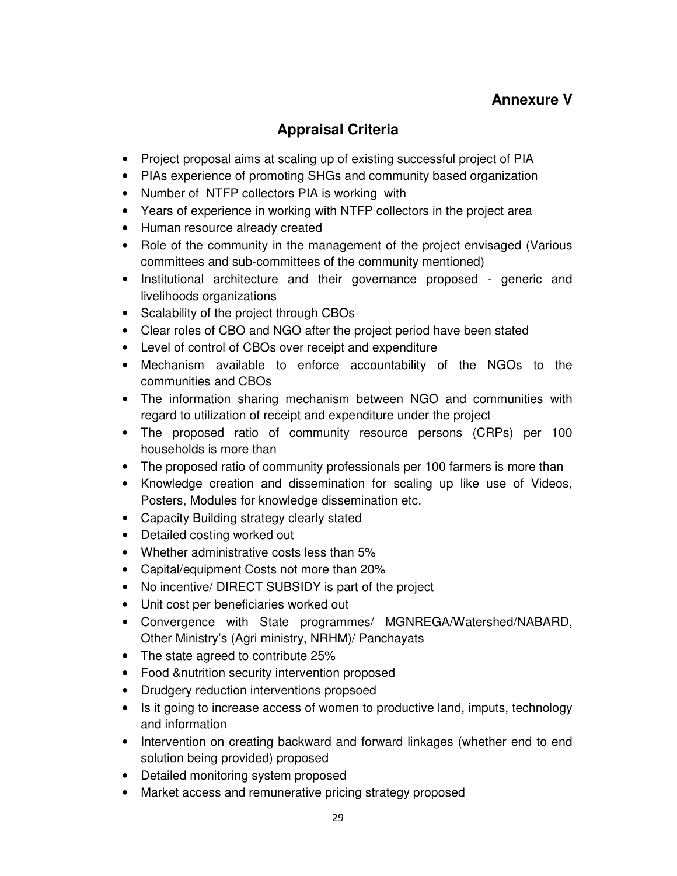## **Annexure V**

# **Appraisal Criteria**

- Project proposal aims at scaling up of existing successful project of PIA
- PIAs experience of promoting SHGs and community based organization
- Number of NTFP collectors PIA is working with
- Years of experience in working with NTFP collectors in the project area
- Human resource already created
- Role of the community in the management of the project envisaged (Various committees and sub-committees of the community mentioned)
- Institutional architecture and their governance proposed generic and livelihoods organizations
- Scalability of the project through CBOs
- Clear roles of CBO and NGO after the project period have been stated
- Level of control of CBOs over receipt and expenditure
- Mechanism available to enforce accountability of the NGOs to the communities and CBOs
- The information sharing mechanism between NGO and communities with regard to utilization of receipt and expenditure under the project
- The proposed ratio of community resource persons (CRPs) per 100 households is more than
- The proposed ratio of community professionals per 100 farmers is more than
- Knowledge creation and dissemination for scaling up like use of Videos, Posters, Modules for knowledge dissemination etc.
- Capacity Building strategy clearly stated
- Detailed costing worked out
- Whether administrative costs less than 5%
- Capital/equipment Costs not more than 20%
- No incentive/ DIRECT SUBSIDY is part of the project
- Unit cost per beneficiaries worked out
- Convergence with State programmes/ MGNREGA/Watershed/NABARD, Other Ministry's (Agri ministry, NRHM)/ Panchayats
- The state agreed to contribute 25%
- Food &nutrition security intervention proposed
- Drudgery reduction interventions propsoed
- Is it going to increase access of women to productive land, imputs, technology and information
- Intervention on creating backward and forward linkages (whether end to end solution being provided) proposed
- Detailed monitoring system proposed
- Market access and remunerative pricing strategy proposed